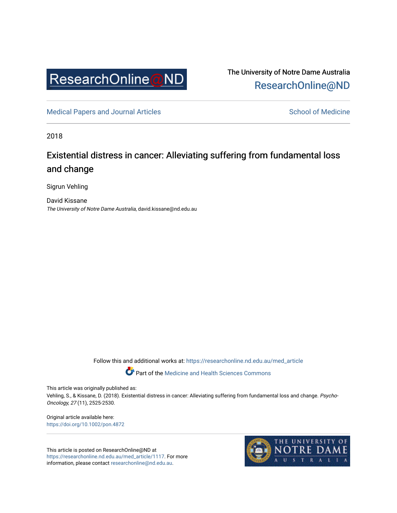

The University of Notre Dame Australia [ResearchOnline@ND](https://researchonline.nd.edu.au/) 

[Medical Papers and Journal Articles](https://researchonline.nd.edu.au/med_article) and School of Medicine

2018

## Existential distress in cancer: Alleviating suffering from fundamental loss and change

Sigrun Vehling

David Kissane The University of Notre Dame Australia, david.kissane@nd.edu.au

Follow this and additional works at: [https://researchonline.nd.edu.au/med\\_article](https://researchonline.nd.edu.au/med_article?utm_source=researchonline.nd.edu.au%2Fmed_article%2F1117&utm_medium=PDF&utm_campaign=PDFCoverPages) 

Part of the [Medicine and Health Sciences Commons](http://network.bepress.com/hgg/discipline/648?utm_source=researchonline.nd.edu.au%2Fmed_article%2F1117&utm_medium=PDF&utm_campaign=PDFCoverPages)

This article was originally published as:

Vehling, S., & Kissane, D. (2018). Existential distress in cancer: Alleviating suffering from fundamental loss and change. Psycho-Oncology, 27 (11), 2525-2530.

Original article available here: <https://doi.org/10.1002/pon.4872>

This article is posted on ResearchOnline@ND at [https://researchonline.nd.edu.au/med\\_article/1117.](https://researchonline.nd.edu.au/med_article/1117) For more information, please contact [researchonline@nd.edu.au.](mailto:researchonline@nd.edu.au)

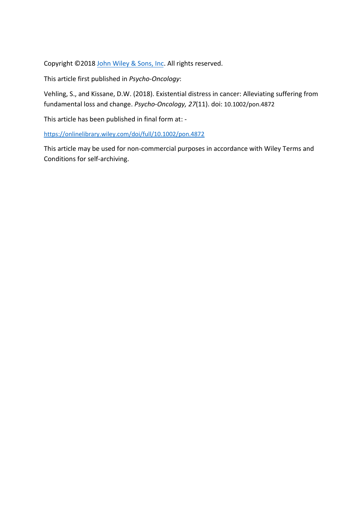Copyright ©2018 [John Wiley & Sons, Inc.](http://www.wiley.com/) All rights reserved.

This article first published in *Psycho-Oncology*:

Vehling, S., and Kissane, D.W. (2018). Existential distress in cancer: Alleviating suffering from fundamental loss and change. *Psycho-Oncology, 27*(11). doi: 10.1002/pon.4872

This article has been published in final form at: -

<https://onlinelibrary.wiley.com/doi/full/10.1002/pon.4872>

This article may be used for non-commercial purposes in accordance with Wiley Terms and Conditions for self-archiving.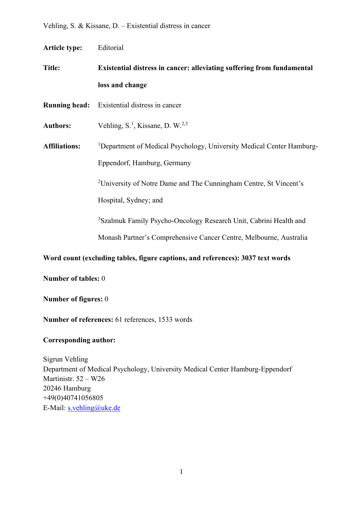**Article type:** Editorial

**Title: Existential distress in cancer: alleviating suffering from fundamental loss and change**

**Running head:** Existential distress in cancer

Authors: Vehling, S.<sup>1</sup>, Kissane, D. W.<sup>2,3</sup>

**Affiliations:** <sup>1</sup> <sup>1</sup>Department of Medical Psychology, University Medical Center Hamburg-Eppendorf, Hamburg, Germany

<sup>2</sup>University of Notre Dame and The Cunningham Centre, St Vincent's

Hospital, Sydney; and

<sup>3</sup>Szalmuk Family Psycho-Oncology Research Unit, Cabrini Health and

Monash Partner's Comprehensive Cancer Centre, Melbourne, Australia

## **Word count (excluding tables, figure captions, and references): 3037 text words**

**Number of tables:** 0

**Number of figures:** 0

**Number of references:** 61 references, 1533 words

## **Corresponding author:**

Sigrun Vehling Department of Medical Psychology, University Medical Center Hamburg-Eppendorf Martinistr. 52 – W26 20246 Hamburg +49(0)40741056805 E-Mail: [s.vehling@uke.de](mailto:s.vehling@uke.de)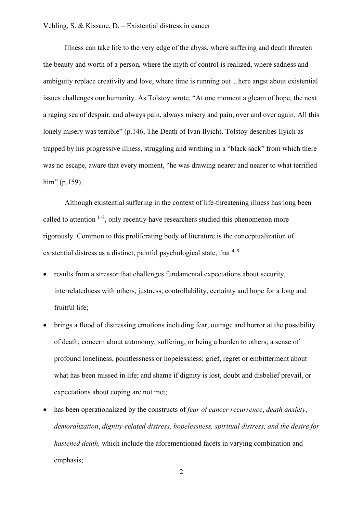Illness can take life to the very edge of the abyss, where suffering and death threaten the beauty and worth of a person, where the myth of control is realized, where sadness and ambiguity replace creativity and love, where time is running out…here angst about existential issues challenges our humanity. As Tolstoy wrote, "At one moment a gleam of hope, the next a raging sea of despair, and always pain, always misery and pain, over and over again. All this lonely misery was terrible" (p.146, The Death of Ivan Ilyich). Tolstoy describes Ilyich as trapped by his progressive illness, struggling and writhing in a "black sack" from which there was no escape, aware that every moment, "he was drawing nearer and nearer to what terrified him" (p.159).

Although existential suffering in the context of life-threatening illness has long been called to attention  $1-3$ , only recently have researchers studied this phenomenon more rigorously. Common to this proliferating body of literature is the conceptualization of existential distress as a distinct, painful psychological state, that  $4-9$ 

- results from a stressor that challenges fundamental expectations about security, interrelatedness with others, justness, controllability, certainty and hope for a long and fruitful life;
- brings a flood of distressing emotions including fear, outrage and horror at the possibility of death; concern about autonomy, suffering, or being a burden to others; a sense of profound loneliness, pointlessness or hopelessness; grief, regret or embitterment about what has been missed in life; and shame if dignity is lost, doubt and disbelief prevail, or expectations about coping are not met;
- has been operationalized by the constructs of *fear of cancer recurrence*, *death anxiety*, *demoralization*, *dignity-related distress, hopelessness, spiritual distress, and the desire for hastened death,* which include the aforementioned facets in varying combination and emphasis;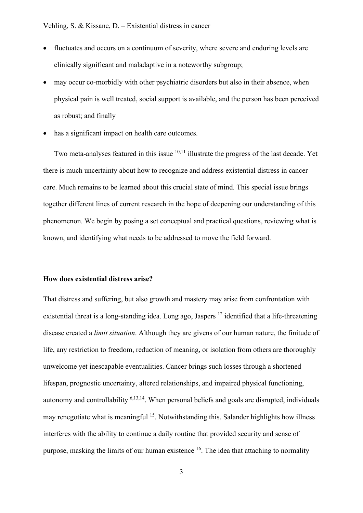- fluctuates and occurs on a continuum of severity, where severe and enduring levels are clinically significant and maladaptive in a noteworthy subgroup;
- may occur co-morbidly with other psychiatric disorders but also in their absence, when physical pain is well treated, social support is available, and the person has been perceived as robust; and finally
- has a significant impact on health care outcomes.

Two meta-analyses featured in this issue <sup>10,11</sup> illustrate the progress of the last decade. Yet there is much uncertainty about how to recognize and address existential distress in cancer care. Much remains to be learned about this crucial state of mind. This special issue brings together different lines of current research in the hope of deepening our understanding of this phenomenon. We begin by posing a set conceptual and practical questions, reviewing what is known, and identifying what needs to be addressed to move the field forward.

### **How does existential distress arise?**

That distress and suffering, but also growth and mastery may arise from confrontation with existential threat is a long-standing idea. Long ago, Jaspers  $^{12}$  identified that a life-threatening disease created a *limit situation*. Although they are givens of our human nature, the finitude of life, any restriction to freedom, reduction of meaning, or isolation from others are thoroughly unwelcome yet inescapable eventualities. Cancer brings such losses through a shortened lifespan, prognostic uncertainty, altered relationships, and impaired physical functioning, autonomy and controllability 6,13,14. When personal beliefs and goals are disrupted, individuals may renegotiate what is meaningful <sup>15</sup>. Notwithstanding this, Salander highlights how illness interferes with the ability to continue a daily routine that provided security and sense of purpose, masking the limits of our human existence  $16$ . The idea that attaching to normality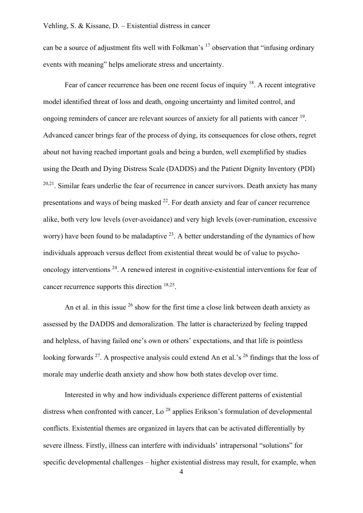can be a source of adjustment fits well with Folkman's  $17$  observation that "infusing ordinary events with meaning" helps ameliorate stress and uncertainty.

Fear of cancer recurrence has been one recent focus of inquiry  $18$ . A recent integrative model identified threat of loss and death, ongoing uncertainty and limited control, and ongoing reminders of cancer are relevant sources of anxiety for all patients with cancer <sup>19</sup>. Advanced cancer brings fear of the process of dying, its consequences for close others, regret about not having reached important goals and being a burden, well exemplified by studies using the Death and Dying Distress Scale (DADDS) and the Patient Dignity Inventory (PDI)  $20,21$ . Similar fears underlie the fear of recurrence in cancer survivors. Death anxiety has many presentations and ways of being masked  $22$ . For death anxiety and fear of cancer recurrence alike, both very low levels (over-avoidance) and very high levels (over-rumination, excessive worry) have been found to be maladaptive  $^{23}$ . A better understanding of the dynamics of how individuals approach versus deflect from existential threat would be of value to psychooncology interventions 24. A renewed interest in cognitive-existential interventions for fear of cancer recurrence supports this direction 18,25.

An et al. in this issue  $^{26}$  show for the first time a close link between death anxiety as assessed by the DADDS and demoralization. The latter is characterized by feeling trapped and helpless, of having failed one's own or others' expectations, and that life is pointless looking forwards <sup>27</sup>. A prospective analysis could extend An et al.'s <sup>26</sup> findings that the loss of morale may underlie death anxiety and show how both states develop over time.

Interested in why and how individuals experience different patterns of existential distress when confronted with cancer, Lo<sup>28</sup> applies Erikson's formulation of developmental conflicts. Existential themes are organized in layers that can be activated differentially by severe illness. Firstly, illness can interfere with individuals' intrapersonal "solutions" for specific developmental challenges – higher existential distress may result, for example, when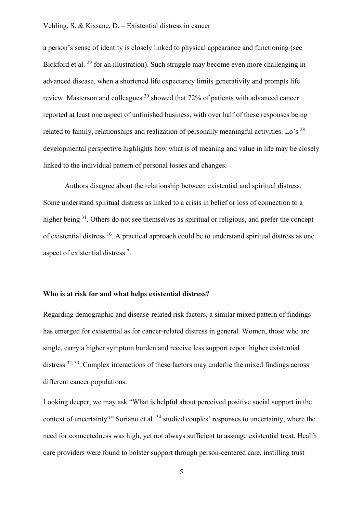a person's sense of identity is closely linked to physical appearance and functioning (see Bickford et al. <sup>29</sup> for an illustration). Such struggle may become even more challenging in advanced disease, when a shortened life expectancy limits generativity and prompts life review. Masterson and colleagues  $30$  showed that 72% of patients with advanced cancer reported at least one aspect of unfinished business, with over half of these responses being related to family, relationships and realization of personally meaningful activities. Lo's  $^{28}$ developmental perspective highlights how what is of meaning and value in life may be closely linked to the individual pattern of personal losses and changes.

Authors disagree about the relationship between existential and spiritual distress. Some understand spiritual distress as linked to a crisis in belief or loss of connection to a higher being <sup>31</sup>. Others do not see themselves as spiritual or religious, and prefer the concept of existential distress 16. A practical approach could be to understand spiritual distress as one aspect of existential distress<sup>7</sup>.

#### **Who is at risk for and what helps existential distress?**

Regarding demographic and disease-related risk factors, a similar mixed pattern of findings has emerged for existential as for cancer-related distress in general. Women, those who are single, carry a higher symptom burden and receive less support report higher existential distress <sup>32, 33</sup>. Complex interactions of these factors may underlie the mixed findings across different cancer populations.

Looking deeper, we may ask "What is helpful about perceived positive social support in the context of uncertainty?" Soriano et al. 34 studied couples' responses to uncertainty, where the need for connectedness was high, yet not always sufficient to assuage existential treat. Health care providers were found to bolster support through person-centered care, instilling trust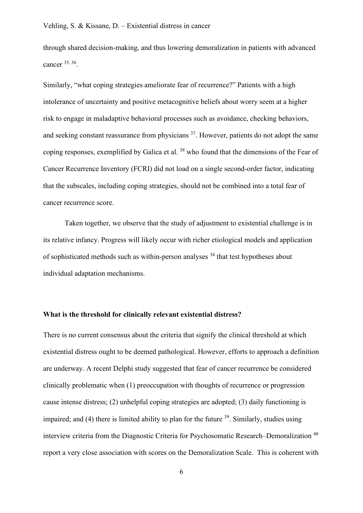through shared decision-making, and thus lowering demoralization in patients with advanced cancer 35, 36.

Similarly, "what coping strategies ameliorate fear of recurrence?" Patients with a high intolerance of uncertainty and positive metacognitive beliefs about worry seem at a higher risk to engage in maladaptive behavioral processes such as avoidance, checking behaviors, and seeking constant reassurance from physicians <sup>37</sup>. However, patients do not adopt the same coping responses, exemplified by Galica et al. <sup>38</sup> who found that the dimensions of the Fear of Cancer Recurrence Inventory (FCRI) did not load on a single second-order factor, indicating that the subscales, including coping strategies, should not be combined into a total fear of cancer recurrence score.

Taken together, we observe that the study of adjustment to existential challenge is in its relative infancy. Progress will likely occur with richer etiological models and application of sophisticated methods such as within-person analyses 34 that test hypotheses about individual adaptation mechanisms.

#### **What is the threshold for clinically relevant existential distress?**

There is no current consensus about the criteria that signify the clinical threshold at which existential distress ought to be deemed pathological. However, efforts to approach a definition are underway. A recent Delphi study suggested that fear of cancer recurrence be considered clinically problematic when (1) preoccupation with thoughts of recurrence or progression cause intense distress; (2) unhelpful coping strategies are adopted; (3) daily functioning is impaired; and (4) there is limited ability to plan for the future  $39$ . Similarly, studies using interview criteria from the Diagnostic Criteria for Psychosomatic Research–Demoralization<sup>40</sup> report a very close association with scores on the Demoralization Scale. This is coherent with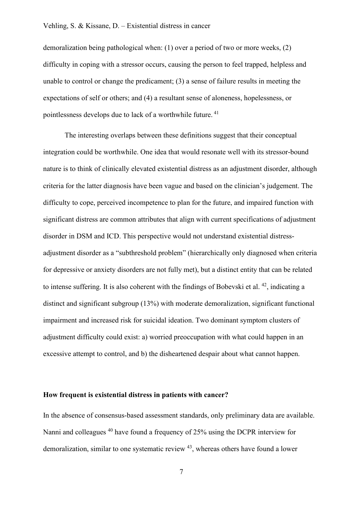demoralization being pathological when: (1) over a period of two or more weeks, (2) difficulty in coping with a stressor occurs, causing the person to feel trapped, helpless and unable to control or change the predicament; (3) a sense of failure results in meeting the expectations of self or others; and (4) a resultant sense of aloneness, hopelessness, or pointlessness develops due to lack of a worthwhile future. <sup>41</sup>

The interesting overlaps between these definitions suggest that their conceptual integration could be worthwhile. One idea that would resonate well with its stressor-bound nature is to think of clinically elevated existential distress as an adjustment disorder, although criteria for the latter diagnosis have been vague and based on the clinician's judgement. The difficulty to cope, perceived incompetence to plan for the future, and impaired function with significant distress are common attributes that align with current specifications of adjustment disorder in DSM and ICD. This perspective would not understand existential distressadjustment disorder as a "subthreshold problem" (hierarchically only diagnosed when criteria for depressive or anxiety disorders are not fully met), but a distinct entity that can be related to intense suffering. It is also coherent with the findings of Bobevski et al.  $42$ , indicating a distinct and significant subgroup (13%) with moderate demoralization, significant functional impairment and increased risk for suicidal ideation. Two dominant symptom clusters of adjustment difficulty could exist: a) worried preoccupation with what could happen in an excessive attempt to control, and b) the disheartened despair about what cannot happen.

#### **How frequent is existential distress in patients with cancer?**

In the absence of consensus-based assessment standards, only preliminary data are available. Nanni and colleagues <sup>40</sup> have found a frequency of 25% using the DCPR interview for demoralization, similar to one systematic review 43, whereas others have found a lower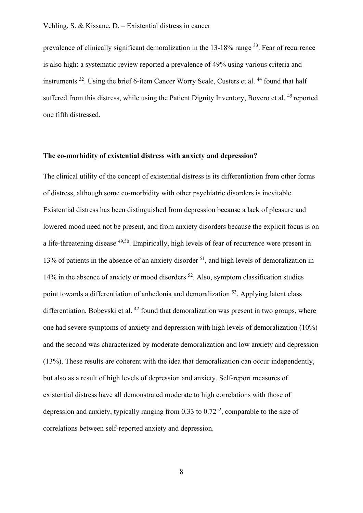prevalence of clinically significant demoralization in the 13-18% range 33. Fear of recurrence is also high: a systematic review reported a prevalence of 49% using various criteria and instruments  $32$ . Using the brief 6-item Cancer Worry Scale, Custers et al.  $44$  found that half suffered from this distress, while using the Patient Dignity Inventory, Bovero et al.<sup>45</sup> reported one fifth distressed.

#### **The co-morbidity of existential distress with anxiety and depression?**

The clinical utility of the concept of existential distress is its differentiation from other forms of distress, although some co-morbidity with other psychiatric disorders is inevitable. Existential distress has been distinguished from depression because a lack of pleasure and lowered mood need not be present, and from anxiety disorders because the explicit focus is on a life-threatening disease <sup>49,50</sup>. Empirically, high levels of fear of recurrence were present in 13% of patients in the absence of an anxiety disorder  $51$ , and high levels of demoralization in 14% in the absence of anxiety or mood disorders  $52$ . Also, symptom classification studies point towards a differentiation of anhedonia and demoralization <sup>53</sup>. Applying latent class differentiation, Bobevski et al.  $42$  found that demoralization was present in two groups, where one had severe symptoms of anxiety and depression with high levels of demoralization (10%) and the second was characterized by moderate demoralization and low anxiety and depression (13%). These results are coherent with the idea that demoralization can occur independently, but also as a result of high levels of depression and anxiety. Self-report measures of existential distress have all demonstrated moderate to high correlations with those of depression and anxiety, typically ranging from  $0.33$  to  $0.72^{52}$ , comparable to the size of correlations between self-reported anxiety and depression.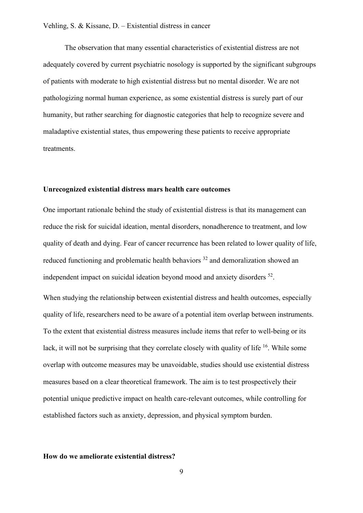The observation that many essential characteristics of existential distress are not adequately covered by current psychiatric nosology is supported by the significant subgroups of patients with moderate to high existential distress but no mental disorder. We are not pathologizing normal human experience, as some existential distress is surely part of our humanity, but rather searching for diagnostic categories that help to recognize severe and maladaptive existential states, thus empowering these patients to receive appropriate treatments.

#### **Unrecognized existential distress mars health care outcomes**

One important rationale behind the study of existential distress is that its management can reduce the risk for suicidal ideation, mental disorders, nonadherence to treatment, and low quality of death and dying. Fear of cancer recurrence has been related to lower quality of life, reduced functioning and problematic health behaviors <sup>32</sup> and demoralization showed an independent impact on suicidal ideation beyond mood and anxiety disorders 52.

When studying the relationship between existential distress and health outcomes, especially quality of life, researchers need to be aware of a potential item overlap between instruments. To the extent that existential distress measures include items that refer to well-being or its lack, it will not be surprising that they correlate closely with quality of life <sup>16</sup>. While some overlap with outcome measures may be unavoidable, studies should use existential distress measures based on a clear theoretical framework. The aim is to test prospectively their potential unique predictive impact on health care-relevant outcomes, while controlling for established factors such as anxiety, depression, and physical symptom burden.

#### **How do we ameliorate existential distress?**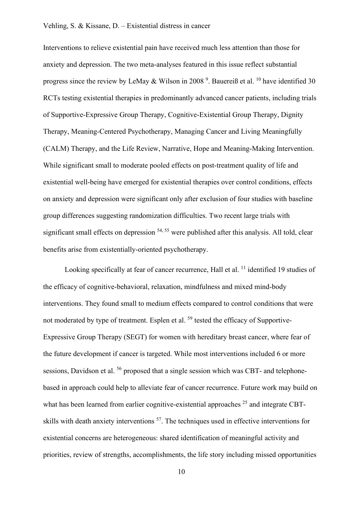Interventions to relieve existential pain have received much less attention than those for anxiety and depression. The two meta-analyses featured in this issue reflect substantial progress since the review by LeMay & Wilson in 2008<sup>9</sup>. Bauereiß et al. <sup>10</sup> have identified 30 RCTs testing existential therapies in predominantly advanced cancer patients, including trials of Supportive-Expressive Group Therapy, Cognitive-Existential Group Therapy, Dignity Therapy, Meaning-Centered Psychotherapy, Managing Cancer and Living Meaningfully (CALM) Therapy, and the Life Review, Narrative, Hope and Meaning-Making Intervention. While significant small to moderate pooled effects on post-treatment quality of life and existential well-being have emerged for existential therapies over control conditions, effects on anxiety and depression were significant only after exclusion of four studies with baseline group differences suggesting randomization difficulties. Two recent large trials with significant small effects on depression  $54, 55$  were published after this analysis. All told, clear benefits arise from existentially-oriented psychotherapy.

Looking specifically at fear of cancer recurrence, Hall et al. <sup>11</sup> identified 19 studies of the efficacy of cognitive-behavioral, relaxation, mindfulness and mixed mind-body interventions. They found small to medium effects compared to control conditions that were not moderated by type of treatment. Esplen et al. <sup>59</sup> tested the efficacy of Supportive-Expressive Group Therapy (SEGT) for women with hereditary breast cancer, where fear of the future development if cancer is targeted. While most interventions included 6 or more sessions. Davidson et al.  $^{56}$  proposed that a single session which was CBT- and telephonebased in approach could help to alleviate fear of cancer recurrence. Future work may build on what has been learned from earlier cognitive-existential approaches  $25$  and integrate CBTskills with death anxiety interventions <sup>57</sup>. The techniques used in effective interventions for existential concerns are heterogeneous: shared identification of meaningful activity and priorities, review of strengths, accomplishments, the life story including missed opportunities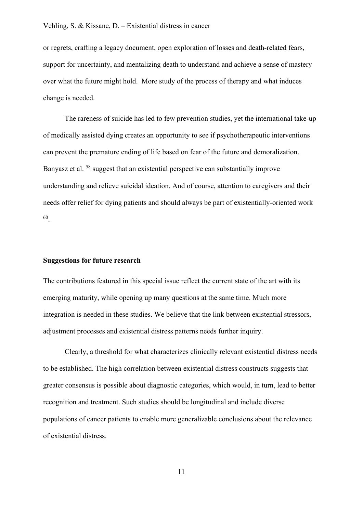or regrets, crafting a legacy document, open exploration of losses and death-related fears, support for uncertainty, and mentalizing death to understand and achieve a sense of mastery over what the future might hold. More study of the process of therapy and what induces change is needed.

The rareness of suicide has led to few prevention studies, yet the international take-up of medically assisted dying creates an opportunity to see if psychotherapeutic interventions can prevent the premature ending of life based on fear of the future and demoralization. Banyasz et al. 58 suggest that an existential perspective can substantially improve understanding and relieve suicidal ideation. And of course, attention to caregivers and their needs offer relief for dying patients and should always be part of existentially-oriented work 60.

#### **Suggestions for future research**

The contributions featured in this special issue reflect the current state of the art with its emerging maturity, while opening up many questions at the same time. Much more integration is needed in these studies. We believe that the link between existential stressors, adjustment processes and existential distress patterns needs further inquiry.

Clearly, a threshold for what characterizes clinically relevant existential distress needs to be established. The high correlation between existential distress constructs suggests that greater consensus is possible about diagnostic categories, which would, in turn, lead to better recognition and treatment. Such studies should be longitudinal and include diverse populations of cancer patients to enable more generalizable conclusions about the relevance of existential distress.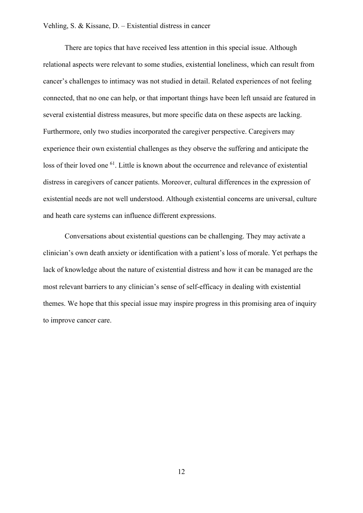There are topics that have received less attention in this special issue. Although relational aspects were relevant to some studies, existential loneliness, which can result from cancer's challenges to intimacy was not studied in detail. Related experiences of not feeling connected, that no one can help, or that important things have been left unsaid are featured in several existential distress measures, but more specific data on these aspects are lacking. Furthermore, only two studies incorporated the caregiver perspective. Caregivers may experience their own existential challenges as they observe the suffering and anticipate the loss of their loved one <sup>61</sup>. Little is known about the occurrence and relevance of existential distress in caregivers of cancer patients. Moreover, cultural differences in the expression of existential needs are not well understood. Although existential concerns are universal, culture and heath care systems can influence different expressions.

Conversations about existential questions can be challenging. They may activate a clinician's own death anxiety or identification with a patient's loss of morale. Yet perhaps the lack of knowledge about the nature of existential distress and how it can be managed are the most relevant barriers to any clinician's sense of self-efficacy in dealing with existential themes. We hope that this special issue may inspire progress in this promising area of inquiry to improve cancer care.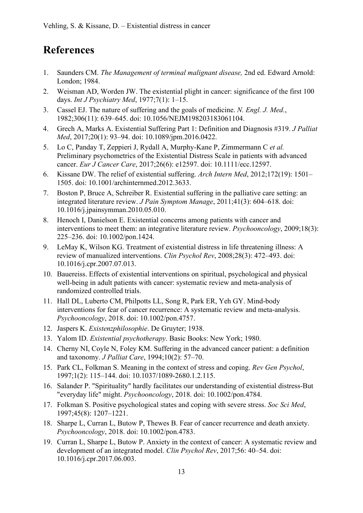# **References**

- 1. Saunders CM. *The Management of terminal malignant disease,* 2nd ed. Edward Arnold: London; 1984.
- 2. Weisman AD, Worden JW. The existential plight in cancer: significance of the first 100 days. *Int J Psychiatry Med*, 1977;7(1): 1–15.
- 3. Cassel EJ. The nature of suffering and the goals of medicine. *N. Engl. J. Med.*, 1982;306(11): 639–645. doi: 10.1056/NEJM198203183061104.
- 4. Grech A, Marks A. Existential Suffering Part 1: Definition and Diagnosis #319. *J Palliat Med*, 2017;20(1): 93–94. doi: 10.1089/jpm.2016.0422.
- 5. Lo C, Panday T, Zeppieri J, Rydall A, Murphy-Kane P, Zimmermann C *et al.* Preliminary psychometrics of the Existential Distress Scale in patients with advanced cancer. *Eur J Cancer Care*, 2017;26(6): e12597. doi: 10.1111/ecc.12597.
- 6. Kissane DW. The relief of existential suffering. *Arch Intern Med*, 2012;172(19): 1501– 1505. doi: 10.1001/archinternmed.2012.3633.
- 7. Boston P, Bruce A, Schreiber R. Existential suffering in the palliative care setting: an integrated literature review. *J Pain Symptom Manage*, 2011;41(3): 604–618. doi: 10.1016/j.jpainsymman.2010.05.010.
- 8. Henoch I, Danielson E. Existential concerns among patients with cancer and interventions to meet them: an integrative literature review. *Psychooncology*, 2009;18(3): 225–236. doi: 10.1002/pon.1424.
- 9. LeMay K, Wilson KG. Treatment of existential distress in life threatening illness: A review of manualized interventions. *Clin Psychol Rev*, 2008;28(3): 472–493. doi: 10.1016/j.cpr.2007.07.013.
- 10. Bauereiss. Effects of existential interventions on spiritual, psychological and physical well-being in adult patients with cancer: systematic review and meta-analysis of randomized controlled trials.
- 11. Hall DL, Luberto CM, Philpotts LL, Song R, Park ER, Yeh GY. Mind-body interventions for fear of cancer recurrence: A systematic review and meta-analysis. *Psychooncology*, 2018. doi: 10.1002/pon.4757.
- 12. Jaspers K. *Existenzphilosophie*. De Gruyter; 1938.
- 13. Yalom ID. *Existential psychotherapy*. Basic Books: New York; 1980.
- 14. Cherny NI, Coyle N, Foley KM. Suffering in the advanced cancer patient: a definition and taxonomy. *J Palliat Care*, 1994;10(2): 57–70.
- 15. Park CL, Folkman S. Meaning in the context of stress and coping. *Rev Gen Psychol*, 1997;1(2): 115–144. doi: 10.1037/1089-2680.1.2.115.
- 16. Salander P. "Spirituality" hardly facilitates our understanding of existential distress-But "everyday life" might. *Psychooncology*, 2018. doi: 10.1002/pon.4784.
- 17. Folkman S. Positive psychological states and coping with severe stress. *Soc Sci Med*, 1997;45(8): 1207–1221.
- 18. Sharpe L, Curran L, Butow P, Thewes B. Fear of cancer recurrence and death anxiety. *Psychooncology*, 2018. doi: 10.1002/pon.4783.
- 19. Curran L, Sharpe L, Butow P. Anxiety in the context of cancer: A systematic review and development of an integrated model. *Clin Psychol Rev*, 2017;56: 40–54. doi: 10.1016/j.cpr.2017.06.003.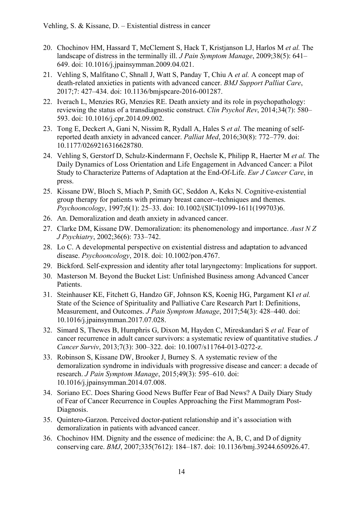- 20. Chochinov HM, Hassard T, McClement S, Hack T, Kristjanson LJ, Harlos M *et al.* The landscape of distress in the terminally ill. *J Pain Symptom Manage*, 2009;38(5): 641– 649. doi: 10.1016/j.jpainsymman.2009.04.021.
- 21. Vehling S, Malfitano C, Shnall J, Watt S, Panday T, Chiu A *et al.* A concept map of death-related anxieties in patients with advanced cancer. *BMJ Support Palliat Care*, 2017;7: 427–434. doi: 10.1136/bmjspcare-2016-001287.
- 22. Iverach L, Menzies RG, Menzies RE. Death anxiety and its role in psychopathology: reviewing the status of a transdiagnostic construct. *Clin Psychol Rev*, 2014;34(7): 580– 593. doi: 10.1016/j.cpr.2014.09.002.
- 23. Tong E, Deckert A, Gani N, Nissim R, Rydall A, Hales S *et al.* The meaning of selfreported death anxiety in advanced cancer. *Palliat Med*, 2016;30(8): 772–779. doi: 10.1177/0269216316628780.
- 24. Vehling S, Gerstorf D, Schulz-Kindermann F, Oechsle K, Philipp R, Haerter M *et al.* The Daily Dynamics of Loss Orientation and Life Engagement in Advanced Cancer: a Pilot Study to Characterize Patterns of Adaptation at the End-Of-Life. *Eur J Cancer Care*, in press.
- 25. Kissane DW, Bloch S, Miach P, Smith GC, Seddon A, Keks N. Cognitive-existential group therapy for patients with primary breast cancer--techniques and themes. *Psychooncology*, 1997;6(1): 25–33. doi: 10.1002/(SICI)1099-1611(199703)6.
- 26. An. Demoralization and death anxiety in advanced cancer.
- 27. Clarke DM, Kissane DW. Demoralization: its phenomenology and importance. *Aust N Z J Psychiatry*, 2002;36(6): 733–742.
- 28. Lo C. A developmental perspective on existential distress and adaptation to advanced disease. *Psychooncology*, 2018. doi: 10.1002/pon.4767.
- 29. Bickford. Self-expression and identity after total laryngectomy: Implications for support.
- 30. Masterson M. Beyond the Bucket List: Unfinished Business among Advanced Cancer Patients.
- 31. Steinhauser KE, Fitchett G, Handzo GF, Johnson KS, Koenig HG, Pargament KI *et al.* State of the Science of Spirituality and Palliative Care Research Part I: Definitions, Measurement, and Outcomes. *J Pain Symptom Manage*, 2017;54(3): 428–440. doi: 10.1016/j.jpainsymman.2017.07.028.
- 32. Simard S, Thewes B, Humphris G, Dixon M, Hayden C, Mireskandari S *et al.* Fear of cancer recurrence in adult cancer survivors: a systematic review of quantitative studies. *J Cancer Surviv*, 2013;7(3): 300–322. doi: 10.1007/s11764-013-0272-z.
- 33. Robinson S, Kissane DW, Brooker J, Burney S. A systematic review of the demoralization syndrome in individuals with progressive disease and cancer: a decade of research. *J Pain Symptom Manage*, 2015;49(3): 595–610. doi: 10.1016/j.jpainsymman.2014.07.008.
- 34. Soriano EC. Does Sharing Good News Buffer Fear of Bad News? A Daily Diary Study of Fear of Cancer Recurrence in Couples Approaching the First Mammogram Post-Diagnosis.
- 35. Quintero-Garzon. Perceived doctor-patient relationship and it's association with demoralization in patients with advanced cancer.
- 36. Chochinov HM. Dignity and the essence of medicine: the A, B, C, and D of dignity conserving care. *BMJ*, 2007;335(7612): 184–187. doi: 10.1136/bmj.39244.650926.47.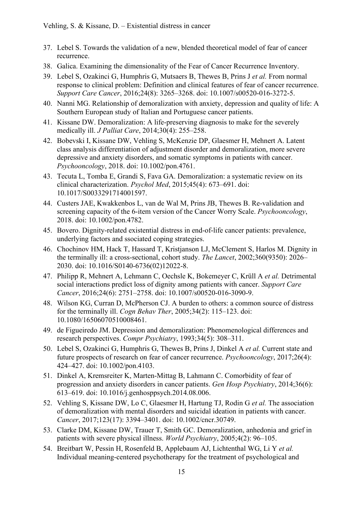- 37. Lebel S. Towards the validation of a new, blended theoretical model of fear of cancer recurrence.
- 38. Galica. Examining the dimensionality of the Fear of Cancer Recurrence Inventory.
- 39. Lebel S, Ozakinci G, Humphris G, Mutsaers B, Thewes B, Prins J *et al.* From normal response to clinical problem: Definition and clinical features of fear of cancer recurrence. *Support Care Cancer*, 2016;24(8): 3265–3268. doi: 10.1007/s00520-016-3272-5.
- 40. Nanni MG. Relationship of demoralization with anxiety, depression and quality of life: A Southern European study of Italian and Portuguese cancer patients.
- 41. Kissane DW. Demoralization: A life-preserving diagnosis to make for the severely medically ill. *J Palliat Care*, 2014;30(4): 255–258.
- 42. Bobevski I, Kissane DW, Vehling S, McKenzie DP, Glaesmer H, Mehnert A. Latent class analysis differentiation of adjustment disorder and demoralization, more severe depressive and anxiety disorders, and somatic symptoms in patients with cancer. *Psychooncology*, 2018. doi: 10.1002/pon.4761.
- 43. Tecuta L, Tomba E, Grandi S, Fava GA. Demoralization: a systematic review on its clinical characterization. *Psychol Med*, 2015;45(4): 673–691. doi: 10.1017/S0033291714001597.
- 44. Custers JAE, Kwakkenbos L, van de Wal M, Prins JB, Thewes B. Re-validation and screening capacity of the 6-item version of the Cancer Worry Scale. *Psychooncology*, 2018. doi: 10.1002/pon.4782.
- 45. Bovero. Dignity-related existential distress in end-of-life cancer patients: prevalence, underlying factors and ssociated coping strategies.
- 46. Chochinov HM, Hack T, Hassard T, Kristjanson LJ, McClement S, Harlos M. Dignity in the terminally ill: a cross-sectional, cohort study. *The Lancet*, 2002;360(9350): 2026– 2030. doi: 10.1016/S0140-6736(02)12022-8.
- 47. Philipp R, Mehnert A, Lehmann C, Oechsle K, Bokemeyer C, Krüll A *et al.* Detrimental social interactions predict loss of dignity among patients with cancer. *Support Care Cancer*, 2016;24(6): 2751–2758. doi: 10.1007/s00520-016-3090-9.
- 48. Wilson KG, Curran D, McPherson CJ. A burden to others: a common source of distress for the terminally ill. *Cogn Behav Ther*, 2005;34(2): 115–123. doi: 10.1080/16506070510008461.
- 49. de Figueiredo JM. Depression and demoralization: Phenomenological differences and research perspectives. *Compr Psychiatry*, 1993;34(5): 308–311.
- 50. Lebel S, Ozakinci G, Humphris G, Thewes B, Prins J, Dinkel A *et al.* Current state and future prospects of research on fear of cancer recurrence. *Psychooncology*, 2017;26(4): 424–427. doi: 10.1002/pon.4103.
- 51. Dinkel A, Kremsreiter K, Marten-Mittag B, Lahmann C. Comorbidity of fear of progression and anxiety disorders in cancer patients. *Gen Hosp Psychiatry*, 2014;36(6): 613–619. doi: 10.1016/j.genhosppsych.2014.08.006.
- 52. Vehling S, Kissane DW, Lo C, Glaesmer H, Hartung TJ, Rodin G *et al.* The association of demoralization with mental disorders and suicidal ideation in patients with cancer. *Cancer*, 2017;123(17): 3394–3401. doi: 10.1002/cncr.30749.
- 53. Clarke DM, Kissane DW, Trauer T, Smith GC. Demoralization, anhedonia and grief in patients with severe physical illness. *World Psychiatry*, 2005;4(2): 96–105.
- 54. Breitbart W, Pessin H, Rosenfeld B, Applebaum AJ, Lichtenthal WG, Li Y *et al.* Individual meaning‐centered psychotherapy for the treatment of psychological and